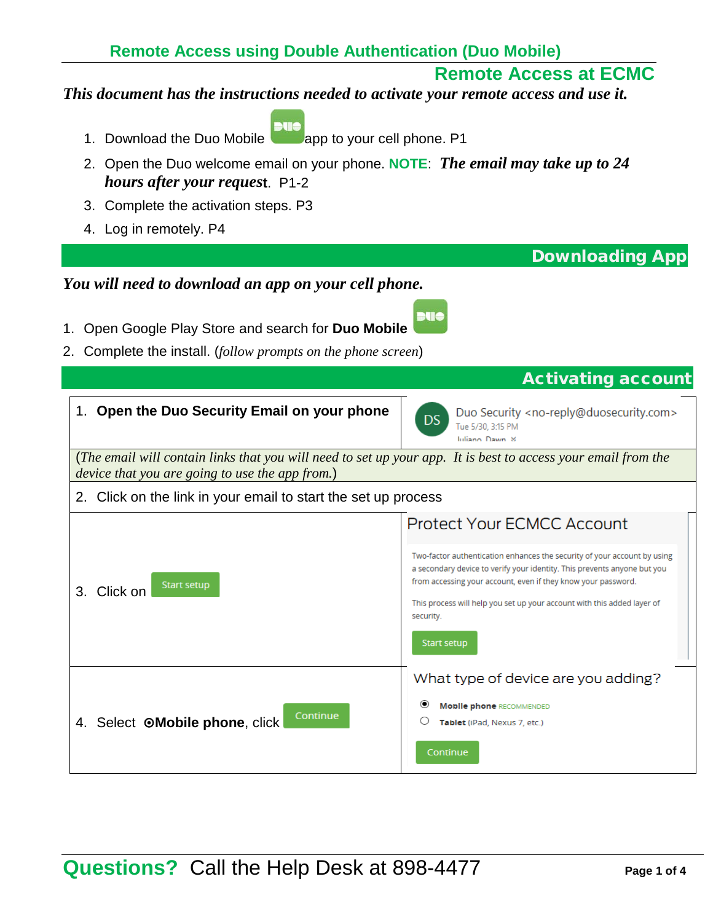## **Remote Access at ECMC**

Downloading App

#### *This document has the instructions needed to activate your remote access and use it.*

- bue 1. Download the Duo Mobile **and Supp to your cell phone.** P1
- 2. Open the Duo welcome email on your phone. **NOTE**: *The email may take up to 24 hours after your reques***t**. P1-2
- 3. Complete the activation steps. P3
- 4. Log in remotely. P4

| You will need to download an app on your cell phone.                                                                                                             |                                                                                                                                                                                                                                                                                                                                                                          |  |  |
|------------------------------------------------------------------------------------------------------------------------------------------------------------------|--------------------------------------------------------------------------------------------------------------------------------------------------------------------------------------------------------------------------------------------------------------------------------------------------------------------------------------------------------------------------|--|--|
| 1. Open Google Play Store and search for Duo Mobile<br>Complete the install. (follow prompts on the phone screen)<br>2.                                          |                                                                                                                                                                                                                                                                                                                                                                          |  |  |
|                                                                                                                                                                  | <b>Activating account</b>                                                                                                                                                                                                                                                                                                                                                |  |  |
| 1. Open the Duo Security Email on your phone                                                                                                                     | Duo Security <no-reply@duosecurity.com><br/>DS<br/>Tue 5/30, 3:15 PM<br/>Juliano Dawn &amp;</no-reply@duosecurity.com>                                                                                                                                                                                                                                                   |  |  |
| (The email will contain links that you will need to set up your app. It is best to access your email from the<br>device that you are going to use the app from.) |                                                                                                                                                                                                                                                                                                                                                                          |  |  |
| 2. Click on the link in your email to start the set up process                                                                                                   |                                                                                                                                                                                                                                                                                                                                                                          |  |  |
| <b>Start setup</b><br>Click on<br>3.                                                                                                                             | <b>Protect Your ECMCC Account</b><br>Two-factor authentication enhances the security of your account by using<br>a secondary device to verify your identity. This prevents anyone but you<br>from accessing your account, even if they know your password.<br>This process will help you set up your account with this added layer of<br>security.<br><b>Start setup</b> |  |  |
| Continue<br>4. Select OMobile phone, click                                                                                                                       | What type of device are you adding?<br><b>Mobile phone RECOMMENDED</b><br>Tablet (iPad, Nexus 7, etc.)<br>Continue                                                                                                                                                                                                                                                       |  |  |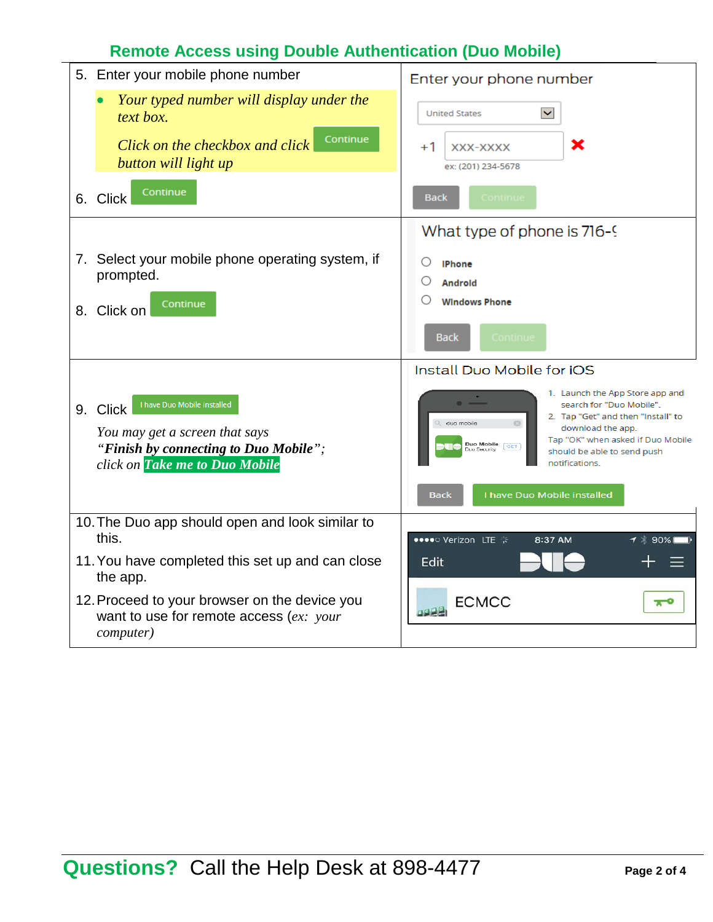# **Remote Access using Double Authentication (Duo Mobile)**

| 5. Enter your mobile phone number                                                                                                                    | Enter your phone number                                                                                                                                                                                                                         |
|------------------------------------------------------------------------------------------------------------------------------------------------------|-------------------------------------------------------------------------------------------------------------------------------------------------------------------------------------------------------------------------------------------------|
| Your typed number will display under the<br>text box.<br>Continue<br>Click on the checkbox and click<br>button will light up                         | $\checkmark$<br><b>United States</b><br>×<br>$+1$<br>XXX-XXXX<br>ex: (201) 234-5678                                                                                                                                                             |
| Continue<br>6. Click                                                                                                                                 | Continue<br>Back                                                                                                                                                                                                                                |
| 7. Select your mobile phone operating system, if<br>prompted.<br>Continue<br>8. Click on                                                             | What type of phone is 716-9<br>O<br><b>IPhone</b><br><b>Androld</b><br><b>Windows Phone</b><br>Continue<br><b>Back</b>                                                                                                                          |
|                                                                                                                                                      | Install Duo Mobile for iOS                                                                                                                                                                                                                      |
| I have Duo Mobile installed<br>9. Click<br>You may get a screen that says<br>"Finish by connecting to Duo Mobile";<br>click on Take me to Duo Mobile | 1. Launch the App Store app and<br>search for "Duo Mobile".<br>2. Tap "Get" and then "Install" to<br>duo mobile<br>download the app.<br>Tap "OK" when asked if Duo Mobile<br>Duo Mobile<br>GET<br>should be able to send push<br>notifications. |
|                                                                                                                                                      | I have Duo Mobile installed<br><b>Back</b>                                                                                                                                                                                                      |
| 10. The Duo app should open and look similar to<br>this.<br>11. You have completed this set up and can close<br>the app.                             | ●●●●○ Verizon LTE *<br>8:37 AM<br>1 * 90%<br>Edit                                                                                                                                                                                               |
| 12. Proceed to your browser on the device you<br>want to use for remote access $(ex.: your$<br><i>computer</i> )                                     | <b>ECMCC</b><br>π                                                                                                                                                                                                                               |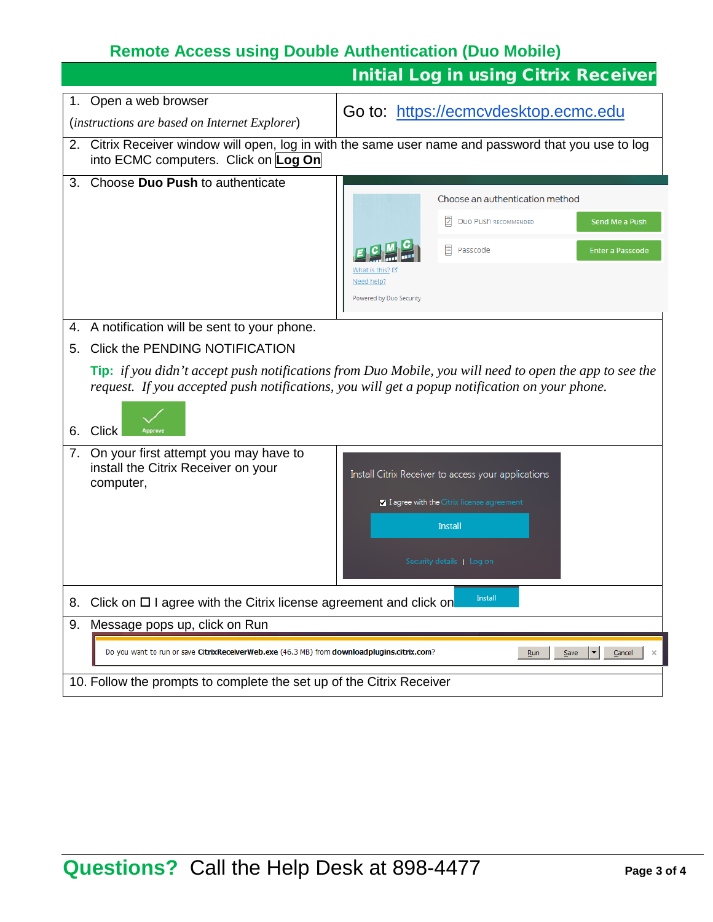# **Remote Access using Double Authentication (Duo Mobile)**

|    |                                                                                                                           | <b>Initial Log in using Citrix Receiver</b>                                                                                                                                                                    |  |
|----|---------------------------------------------------------------------------------------------------------------------------|----------------------------------------------------------------------------------------------------------------------------------------------------------------------------------------------------------------|--|
|    | 1. Open a web browser                                                                                                     |                                                                                                                                                                                                                |  |
|    | (instructions are based on Internet Explorer)                                                                             | Go to: https://ecmcvdesktop.ecmc.edu                                                                                                                                                                           |  |
|    | into ECMC computers. Click on Log On                                                                                      | 2. Citrix Receiver window will open, log in with the same user name and password that you use to log                                                                                                           |  |
| 3. | Choose Duo Push to authenticate                                                                                           | Choose an authentication method<br><b>DUO PUSh RECOMMENDED</b><br>Send Me a Push<br>Passcode<br><b>Enter a Passcode</b><br>Need help?<br>Powered by Duo Security                                               |  |
|    | 4. A notification will be sent to your phone.                                                                             |                                                                                                                                                                                                                |  |
| 5. | Click the PENDING NOTIFICATION                                                                                            |                                                                                                                                                                                                                |  |
| 6. | <b>Click</b>                                                                                                              | <b>Tip:</b> if you didn't accept push notifications from Duo Mobile, you will need to open the app to see the<br>request. If you accepted push notifications, you will get a popup notification on your phone. |  |
| 7. | On your first attempt you may have to<br>install the Citrix Receiver on your<br>computer,                                 | Install Citrix Receiver to access your applications<br>I agree with the Citrix license agreement<br>Install<br>Security details   Log on                                                                       |  |
| 8. | Install<br>Click on $\Box$ I agree with the Citrix license agreement and click on                                         |                                                                                                                                                                                                                |  |
| 9. | Message pops up, click on Run                                                                                             |                                                                                                                                                                                                                |  |
|    | Do you want to run or save CitrixReceiverWeb.exe (46.3 MB) from downloadplugins.citrix.com?<br>Run<br>Save<br>Cancel<br>× |                                                                                                                                                                                                                |  |
|    | 10. Follow the prompts to complete the set up of the Citrix Receiver                                                      |                                                                                                                                                                                                                |  |